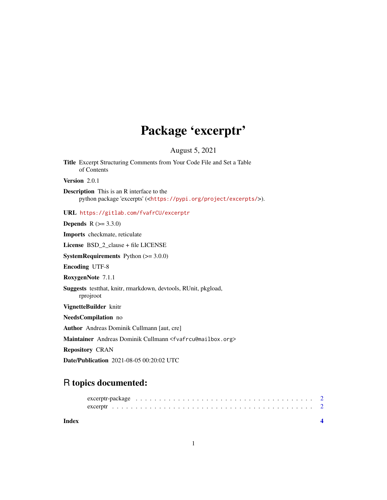## Package 'excerptr'

August 5, 2021

Title Excerpt Structuring Comments from Your Code File and Set a Table of Contents Version 2.0.1 Description This is an R interface to the python package 'excerpts' (<<https://pypi.org/project/excerpts/>>). URL <https://gitlab.com/fvafrCU/excerptr> **Depends**  $R (= 3.3.0)$ Imports checkmate, reticulate License BSD\_2\_clause + file LICENSE **SystemRequirements** Python  $(>= 3.0.0)$ Encoding UTF-8 RoxygenNote 7.1.1 Suggests testthat, knitr, rmarkdown, devtools, RUnit, pkgload, rprojroot VignetteBuilder knitr NeedsCompilation no Author Andreas Dominik Cullmann [aut, cre] Maintainer Andreas Dominik Cullmann <fvafrcu@mailbox.org> Repository CRAN Date/Publication 2021-08-05 00:20:02 UTC

### R topics documented:

|       | excerptr-package $\ldots \ldots \ldots \ldots \ldots \ldots \ldots \ldots \ldots \ldots \ldots \ldots \ldots$ |  |
|-------|---------------------------------------------------------------------------------------------------------------|--|
|       |                                                                                                               |  |
| Index |                                                                                                               |  |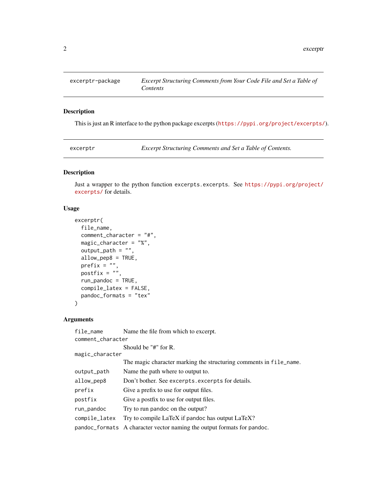<span id="page-1-0"></span>

#### Description

This is just an R interface to the python package excerpts (<https://pypi.org/project/excerpts/>).

excerptr *Excerpt Structuring Comments and Set a Table of Contents.*

#### Description

Just a wrapper to the python function excerpts.excerpts. See [https://pypi.org/project/](https://pypi.org/project/excerpts/) [excerpts/](https://pypi.org/project/excerpts/) for details.

#### Usage

```
excerptr(
 file_name,
 comment_character = "#",
 magic_character = "%",
 output_path = ",
 allow_pep8 = TRUE,
 prefix = ",
 postfix = ",
  run_pandoc = TRUE,
 compile_latex = FALSE,
 pandoc_formats = "tex"
)
```
#### Arguments

| file_name         | Name the file from which to excerpt.                                    |  |  |
|-------------------|-------------------------------------------------------------------------|--|--|
| comment_character |                                                                         |  |  |
|                   | Should be "#" for R.                                                    |  |  |
| magic_character   |                                                                         |  |  |
|                   | The magic character marking the structuring comments in file_name.      |  |  |
| output_path       | Name the path where to output to.                                       |  |  |
| allow_pep8        | Don't bother. See excerpts. excerpts for details.                       |  |  |
| prefix            | Give a prefix to use for output files.                                  |  |  |
| postfix           | Give a postfix to use for output files.                                 |  |  |
| run_pandoc        | Try to run pandoc on the output?                                        |  |  |
| compile_latex     | Try to compile LaTeX if pandoc has output LaTeX?                        |  |  |
|                   | pandoc_formats A character vector naming the output formats for pandoc. |  |  |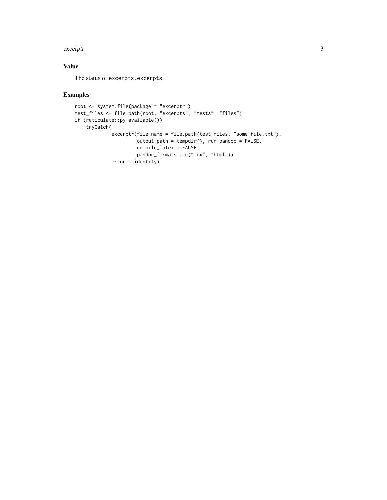#### excerptr 3

#### Value

The status of excerpts.excerpts.

#### Examples

```
root <- system.file(package = "excerptr")
test_files <- file.path(root, "excerpts", "tests", "files")
if (reticulate::py_available())
   tryCatch(
            excerptr(file_name = file.path(test_files, "some_file.txt"),
                     output_path = tempdir(), run_pandoc = FALSE,
                     compile_latex = FALSE,
                     pandoc_formats = c("tex", "html")),
            error = identity)
```